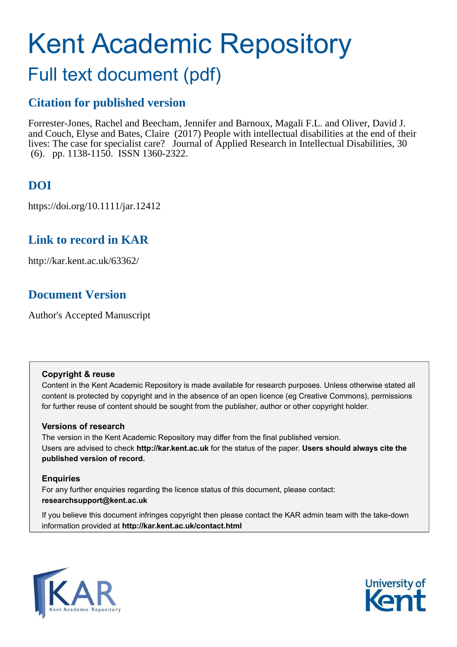# Kent Academic Repository

## Full text document (pdf)

## **Citation for published version**

Forrester-Jones, Rachel and Beecham, Jennifer and Barnoux, Magali F.L. and Oliver, David J. and Couch, Elyse and Bates, Claire (2017) People with intellectual disabilities at the end of their lives: The case for specialist care? Journal of Applied Research in Intellectual Disabilities, 30 (6). pp. 1138-1150. ISSN 1360-2322.

## **DOI**

https://doi.org/10.1111/jar.12412

## **Link to record in KAR**

http://kar.kent.ac.uk/63362/

## **Document Version**

Author's Accepted Manuscript

#### **Copyright & reuse**

Content in the Kent Academic Repository is made available for research purposes. Unless otherwise stated all content is protected by copyright and in the absence of an open licence (eg Creative Commons), permissions for further reuse of content should be sought from the publisher, author or other copyright holder.

#### **Versions of research**

The version in the Kent Academic Repository may differ from the final published version. Users are advised to check **http://kar.kent.ac.uk** for the status of the paper. **Users should always cite the published version of record.**

#### **Enquiries**

For any further enquiries regarding the licence status of this document, please contact: **researchsupport@kent.ac.uk**

If you believe this document infringes copyright then please contact the KAR admin team with the take-down information provided at **http://kar.kent.ac.uk/contact.html**



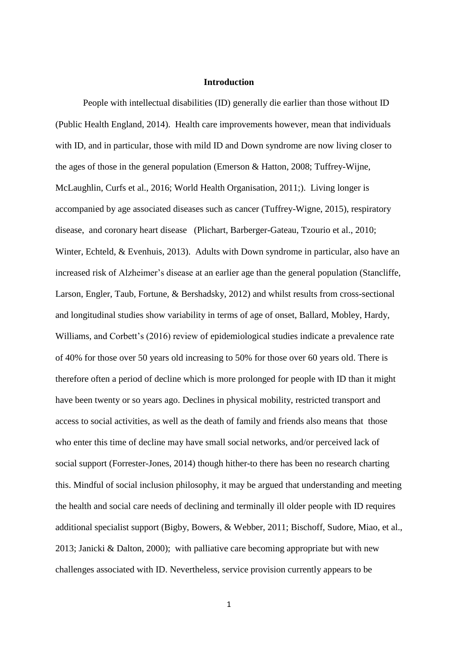#### **Introduction**

People with intellectual disabilities (ID) generally die earlier than those without ID (Public Health England, 2014). Health care improvements however, mean that individuals with ID, and in particular, those with mild ID and Down syndrome are now living closer to the ages of those in the general population (Emerson & Hatton, 2008; Tuffrey-Wijne, McLaughlin, Curfs et al., 2016; World Health Organisation, 2011;). Living longer is accompanied by age associated diseases such as cancer (Tuffrey-Wigne, 2015), respiratory disease, and coronary heart disease (Plichart, Barberger-Gateau, Tzourio et al., 2010; Winter, Echteld, & Evenhuis, 2013). Adults with Down syndrome in particular, also have an increased risk of Alzheimer's disease at an earlier age than the general population (Stancliffe, Larson, Engler, Taub, Fortune, & Bershadsky, 2012) and whilst results from cross-sectional and longitudinal studies show variability in terms of age of onset, Ballard, Mobley, Hardy, Williams, and Corbett's (2016) review of epidemiological studies indicate a prevalence rate of 40% for those over 50 years old increasing to 50% for those over 60 years old. There is therefore often a period of decline which is more prolonged for people with ID than it might have been twenty or so years ago. Declines in physical mobility, restricted transport and access to social activities, as well as the death of family and friends also means that those who enter this time of decline may have small social networks, and/or perceived lack of social support (Forrester-Jones, 2014) though hither-to there has been no research charting this. Mindful of social inclusion philosophy, it may be argued that understanding and meeting the health and social care needs of declining and terminally ill older people with ID requires additional specialist support (Bigby, Bowers, & Webber, 2011; Bischoff, Sudore, Miao, et al., 2013; Janicki & Dalton, 2000); with palliative care becoming appropriate but with new challenges associated with ID. Nevertheless, service provision currently appears to be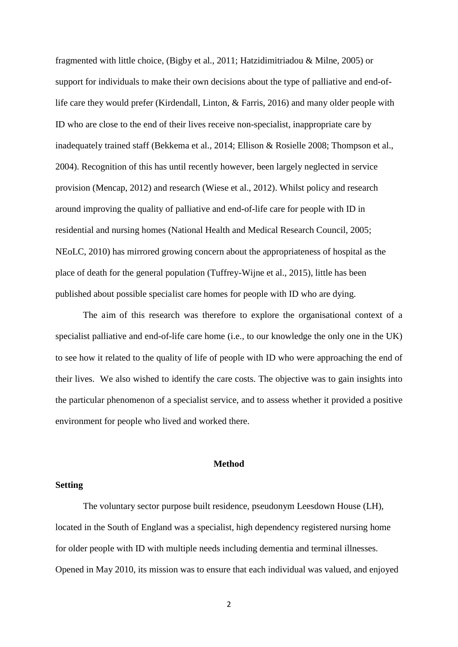fragmented with little choice, (Bigby et al., 2011; Hatzidimitriadou & Milne, 2005) or support for individuals to make their own decisions about the type of palliative and end-oflife care they would prefer (Kirdendall, Linton, & Farris, 2016) and many older people with ID who are close to the end of their lives receive non-specialist, inappropriate care by inadequately trained staff (Bekkema et al., 2014; Ellison & Rosielle 2008; Thompson et al., 2004). Recognition of this has until recently however, been largely neglected in service provision (Mencap, 2012) and research (Wiese et al., 2012). Whilst policy and research around improving the quality of palliative and end-of-life care for people with ID in residential and nursing homes (National Health and Medical Research Council, 2005; NEoLC, 2010) has mirrored growing concern about the appropriateness of hospital as the place of death for the general population (Tuffrey-Wijne et al., 2015), little has been published about possible specialist care homes for people with ID who are dying.

The aim of this research was therefore to explore the organisational context of a specialist palliative and end-of-life care home (i.e., to our knowledge the only one in the UK) to see how it related to the quality of life of people with ID who were approaching the end of their lives. We also wished to identify the care costs. The objective was to gain insights into the particular phenomenon of a specialist service, and to assess whether it provided a positive environment for people who lived and worked there.

#### **Method**

#### **Setting**

The voluntary sector purpose built residence, pseudonym Leesdown House (LH), located in the South of England was a specialist, high dependency registered nursing home for older people with ID with multiple needs including dementia and terminal illnesses. Opened in May 2010, its mission was to ensure that each individual was valued, and enjoyed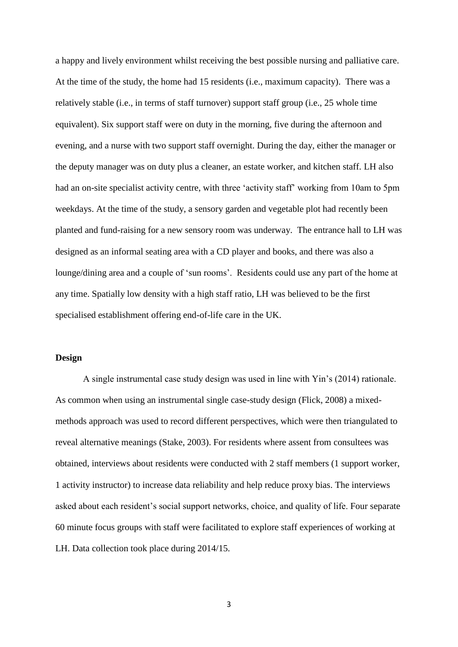a happy and lively environment whilst receiving the best possible nursing and palliative care. At the time of the study, the home had 15 residents (i.e., maximum capacity). There was a relatively stable (i.e., in terms of staff turnover) support staff group (i.e., 25 whole time equivalent). Six support staff were on duty in the morning, five during the afternoon and evening, and a nurse with two support staff overnight. During the day, either the manager or the deputy manager was on duty plus a cleaner, an estate worker, and kitchen staff. LH also had an on-site specialist activity centre, with three 'activity staff' working from 10am to 5pm weekdays. At the time of the study, a sensory garden and vegetable plot had recently been planted and fund-raising for a new sensory room was underway. The entrance hall to LH was designed as an informal seating area with a CD player and books, and there was also a lounge/dining area and a couple of 'sun rooms'. Residents could use any part of the home at any time. Spatially low density with a high staff ratio, LH was believed to be the first specialised establishment offering end-of-life care in the UK.

#### **Design**

A single instrumental case study design was used in line with Yin's (2014) rationale. As common when using an instrumental single case-study design (Flick, 2008) a mixedmethods approach was used to record different perspectives, which were then triangulated to reveal alternative meanings (Stake, 2003). For residents where assent from consultees was obtained, interviews about residents were conducted with 2 staff members (1 support worker, 1 activity instructor) to increase data reliability and help reduce proxy bias. The interviews asked about each resident's social support networks, choice, and quality of life. Four separate 60 minute focus groups with staff were facilitated to explore staff experiences of working at LH. Data collection took place during 2014/15.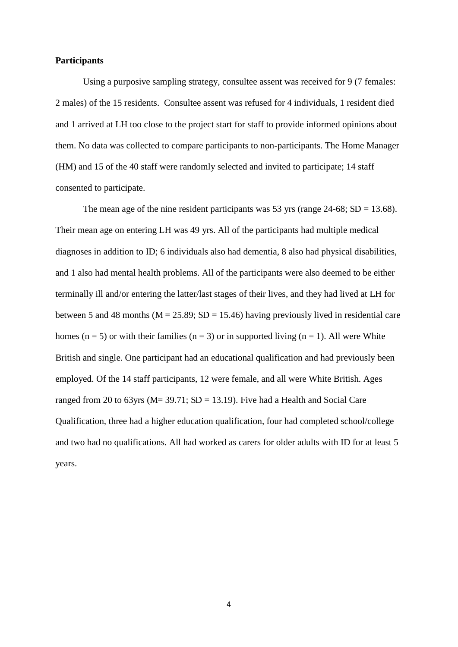#### **Participants**

Using a purposive sampling strategy, consultee assent was received for 9 (7 females: 2 males) of the 15 residents. Consultee assent was refused for 4 individuals, 1 resident died and 1 arrived at LH too close to the project start for staff to provide informed opinions about them. No data was collected to compare participants to non-participants. The Home Manager (HM) and 15 of the 40 staff were randomly selected and invited to participate; 14 staff consented to participate.

The mean age of the nine resident participants was 53 yrs (range  $24-68$ ; SD = 13.68). Their mean age on entering LH was 49 yrs. All of the participants had multiple medical diagnoses in addition to ID; 6 individuals also had dementia, 8 also had physical disabilities, and 1 also had mental health problems. All of the participants were also deemed to be either terminally ill and/or entering the latter/last stages of their lives, and they had lived at LH for between 5 and 48 months ( $M = 25.89$ ;  $SD = 15.46$ ) having previously lived in residential care homes (n = 5) or with their families (n = 3) or in supported living (n = 1). All were White British and single. One participant had an educational qualification and had previously been employed. Of the 14 staff participants, 12 were female, and all were White British. Ages ranged from 20 to 63yrs ( $M = 39.71$ ;  $SD = 13.19$ ). Five had a Health and Social Care Qualification, three had a higher education qualification, four had completed school/college and two had no qualifications. All had worked as carers for older adults with ID for at least 5 years.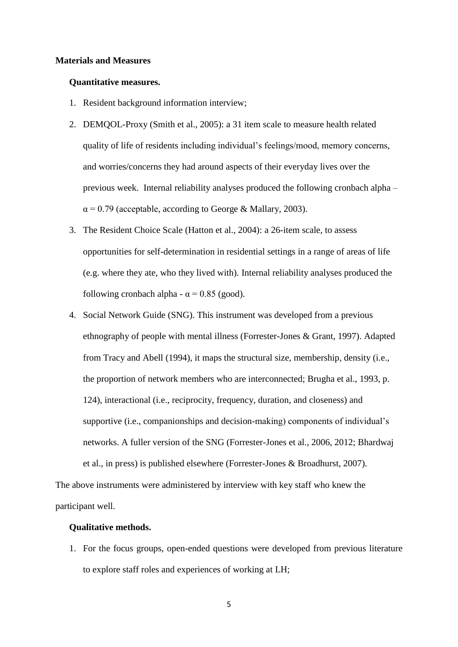#### **Materials and Measures**

#### **Quantitative measures.**

- 1. Resident background information interview;
- 2. DEMQOL-Proxy (Smith et al., 2005): a 31 item scale to measure health related quality of life of residents including individual's feelings/mood, memory concerns, and worries/concerns they had around aspects of their everyday lives over the previous week. Internal reliability analyses produced the following cronbach alpha –  $\alpha$  = 0.79 (acceptable, according to George & Mallary, 2003).
- 3. The Resident Choice Scale (Hatton et al., 2004): a 26-item scale, to assess opportunities for self-determination in residential settings in a range of areas of life (e.g. where they ate, who they lived with). Internal reliability analyses produced the following cronbach alpha -  $\alpha$  = 0.85 (good).
- 4. Social Network Guide (SNG). This instrument was developed from a previous ethnography of people with mental illness (Forrester-Jones & Grant, 1997). Adapted from Tracy and Abell (1994), it maps the structural size, membership, density (i.e., the proportion of network members who are interconnected; Brugha et al., 1993, p. 124), interactional (i.e., reciprocity, frequency, duration, and closeness) and supportive (i.e., companionships and decision-making) components of individual's networks. A fuller version of the SNG (Forrester-Jones et al., 2006, 2012; Bhardwaj et al., in press) is published elsewhere (Forrester-Jones & Broadhurst, 2007).

The above instruments were administered by interview with key staff who knew the participant well.

#### **Qualitative methods.**

1. For the focus groups, open-ended questions were developed from previous literature to explore staff roles and experiences of working at LH;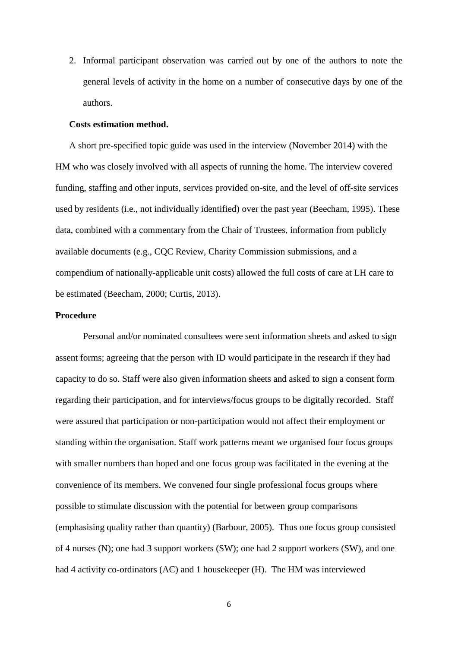2. Informal participant observation was carried out by one of the authors to note the general levels of activity in the home on a number of consecutive days by one of the authors.

#### **Costs estimation method.**

A short pre-specified topic guide was used in the interview (November 2014) with the HM who was closely involved with all aspects of running the home. The interview covered funding, staffing and other inputs, services provided on-site, and the level of off-site services used by residents (i.e., not individually identified) over the past year (Beecham, 1995). These data, combined with a commentary from the Chair of Trustees, information from publicly available documents (e.g., CQC Review, Charity Commission submissions, and a compendium of nationally-applicable unit costs) allowed the full costs of care at LH care to be estimated (Beecham, 2000; Curtis, 2013).

#### **Procedure**

Personal and/or nominated consultees were sent information sheets and asked to sign assent forms; agreeing that the person with ID would participate in the research if they had capacity to do so. Staff were also given information sheets and asked to sign a consent form regarding their participation, and for interviews/focus groups to be digitally recorded. Staff were assured that participation or non-participation would not affect their employment or standing within the organisation. Staff work patterns meant we organised four focus groups with smaller numbers than hoped and one focus group was facilitated in the evening at the convenience of its members. We convened four single professional focus groups where possible to stimulate discussion with the potential for between group comparisons (emphasising quality rather than quantity) (Barbour, 2005). Thus one focus group consisted of 4 nurses (N); one had 3 support workers (SW); one had 2 support workers (SW), and one had 4 activity co-ordinators (AC) and 1 housekeeper (H). The HM was interviewed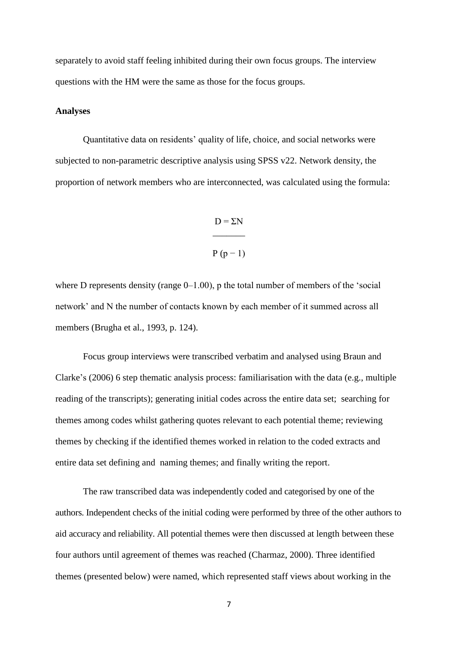separately to avoid staff feeling inhibited during their own focus groups. The interview questions with the HM were the same as those for the focus groups.

#### **Analyses**

Quantitative data on residents' quality of life, choice, and social networks were subjected to non-parametric descriptive analysis using SPSS v22. Network density, the proportion of network members who are interconnected, was calculated using the formula:

## $D = \Sigma N$  $\overline{\phantom{a}}$

## $P(p-1)$

where D represents density (range  $0-1.00$ ), p the total number of members of the 'social network' and N the number of contacts known by each member of it summed across all members (Brugha et al., 1993, p. 124).

Focus group interviews were transcribed verbatim and analysed using Braun and Clarke's (2006) 6 step thematic analysis process: familiarisation with the data (e.g., multiple reading of the transcripts); generating initial codes across the entire data set; searching for themes among codes whilst gathering quotes relevant to each potential theme; reviewing themes by checking if the identified themes worked in relation to the coded extracts and entire data set defining and naming themes; and finally writing the report.

The raw transcribed data was independently coded and categorised by one of the authors. Independent checks of the initial coding were performed by three of the other authors to aid accuracy and reliability. All potential themes were then discussed at length between these four authors until agreement of themes was reached (Charmaz, 2000). Three identified themes (presented below) were named, which represented staff views about working in the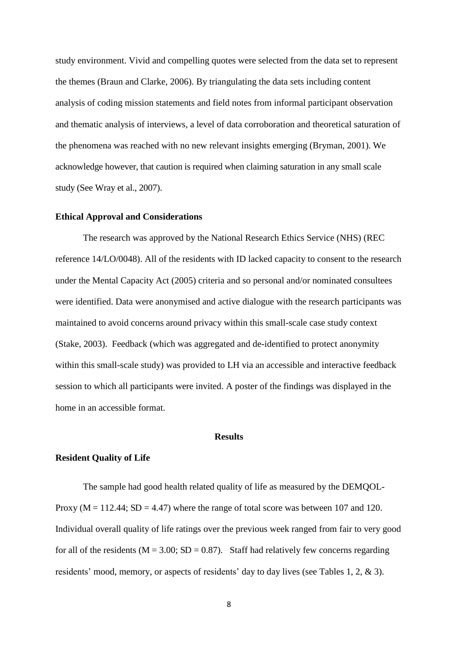study environment. Vivid and compelling quotes were selected from the data set to represent the themes (Braun and Clarke, 2006). By triangulating the data sets including content analysis of coding mission statements and field notes from informal participant observation and thematic analysis of interviews, a level of data corroboration and theoretical saturation of the phenomena was reached with no new relevant insights emerging (Bryman, 2001). We acknowledge however, that caution is required when claiming saturation in any small scale study (See Wray et al., 2007).

#### **Ethical Approval and Considerations**

The research was approved by the National Research Ethics Service (NHS) (REC reference 14/LO/0048). All of the residents with ID lacked capacity to consent to the research under the Mental Capacity Act (2005) criteria and so personal and/or nominated consultees were identified. Data were anonymised and active dialogue with the research participants was maintained to avoid concerns around privacy within this small-scale case study context (Stake, 2003). Feedback (which was aggregated and de-identified to protect anonymity within this small-scale study) was provided to LH via an accessible and interactive feedback session to which all participants were invited. A poster of the findings was displayed in the home in an accessible format.

#### **Results**

#### **Resident Quality of Life**

The sample had good health related quality of life as measured by the DEMQOL-Proxy ( $M = 112.44$ ;  $SD = 4.47$ ) where the range of total score was between 107 and 120. Individual overall quality of life ratings over the previous week ranged from fair to very good for all of the residents ( $M = 3.00$ ; SD = 0.87). Staff had relatively few concerns regarding residents' mood, memory, or aspects of residents' day to day lives (see Tables 1, 2, & 3).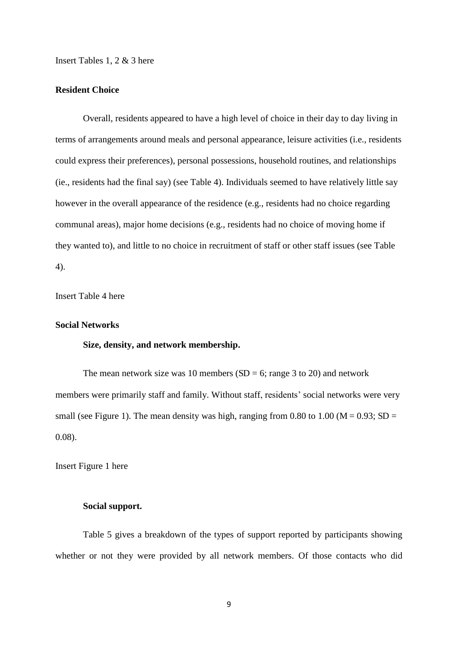Insert Tables 1, 2 & 3 here

#### **Resident Choice**

Overall, residents appeared to have a high level of choice in their day to day living in terms of arrangements around meals and personal appearance, leisure activities (i.e., residents could express their preferences), personal possessions, household routines, and relationships (ie., residents had the final say) (see Table 4). Individuals seemed to have relatively little say however in the overall appearance of the residence (e.g., residents had no choice regarding communal areas), major home decisions (e.g., residents had no choice of moving home if they wanted to), and little to no choice in recruitment of staff or other staff issues (see Table 4).

Insert Table 4 here

#### **Social Networks**

#### **Size, density, and network membership.**

The mean network size was 10 members  $(SD = 6)$ ; range 3 to 20) and network members were primarily staff and family. Without staff, residents' social networks were very small (see Figure 1). The mean density was high, ranging from 0.80 to 1.00 ( $M = 0.93$ ; SD = 0.08).

Insert Figure 1 here

#### **Social support.**

Table 5 gives a breakdown of the types of support reported by participants showing whether or not they were provided by all network members. Of those contacts who did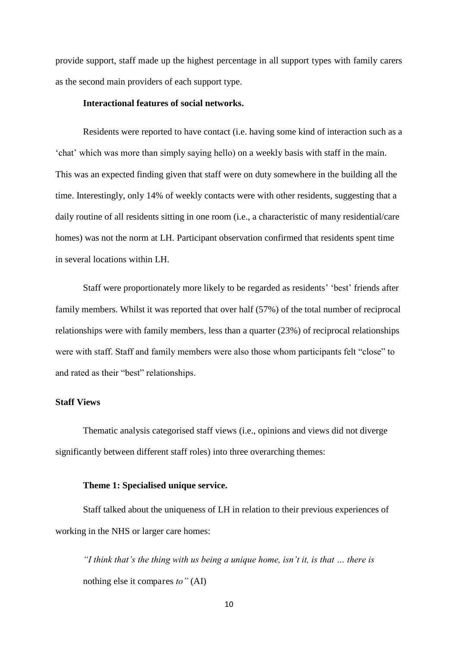provide support, staff made up the highest percentage in all support types with family carers as the second main providers of each support type.

#### **Interactional features of social networks.**

Residents were reported to have contact (i.e. having some kind of interaction such as a 'chat' which was more than simply saying hello) on a weekly basis with staff in the main. This was an expected finding given that staff were on duty somewhere in the building all the time. Interestingly, only 14% of weekly contacts were with other residents, suggesting that a daily routine of all residents sitting in one room (i.e., a characteristic of many residential/care homes) was not the norm at LH. Participant observation confirmed that residents spent time in several locations within LH.

Staff were proportionately more likely to be regarded as residents' 'best' friends after family members. Whilst it was reported that over half (57%) of the total number of reciprocal relationships were with family members, less than a quarter (23%) of reciprocal relationships were with staff. Staff and family members were also those whom participants felt "close" to and rated as their "best" relationships.

#### **Staff Views**

Thematic analysis categorised staff views (i.e., opinions and views did not diverge significantly between different staff roles) into three overarching themes:

#### **Theme 1: Specialised unique service.**

Staff talked about the uniqueness of LH in relation to their previous experiences of working in the NHS or larger care homes:

*"I think that's the thing with us being a unique home, isn't it, is that … there is*  nothing else it compares *to"* (AI)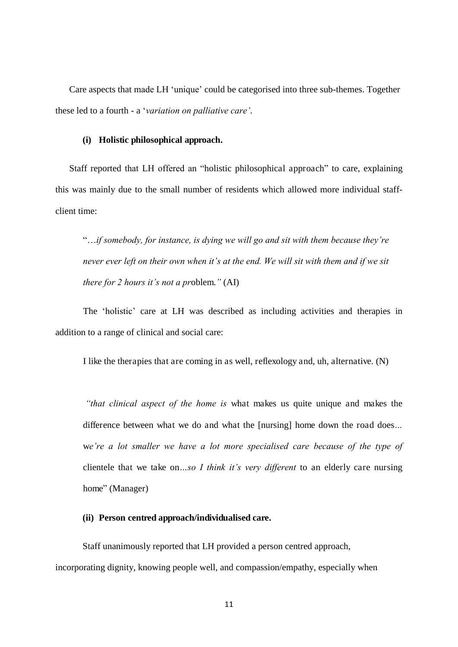Care aspects that made LH 'unique' could be categorised into three sub-themes. Together these led to a fourth - a '*variation on palliative care'*.

#### **(i) Holistic philosophical approach.**

Staff reported that LH offered an "holistic philosophical approach" to care, explaining this was mainly due to the small number of residents which allowed more individual staffclient time:

"…*if somebody, for instance, is dying we will go and sit with them because they're never ever left on their own when it's at the end. We will sit with them and if we sit there for 2 hours it's not a pr*oblem.*"* (AI)

The 'holistic' care at LH was described as including activities and therapies in addition to a range of clinical and social care:

I like the therapies that are coming in as well, reflexology and, uh, alternative. (N)

*"that clinical aspect of the home is* what makes us quite unique and makes the difference between what we do and what the [nursing] home down the road does*…*  w*e're a lot smaller we have a lot more specialised care because of the type of*  clientele that we take on*…so I think it's very different* to an elderly care nursing home" (Manager)

#### **(ii) Person centred approach/individualised care.**

Staff unanimously reported that LH provided a person centred approach, incorporating dignity, knowing people well, and compassion/empathy, especially when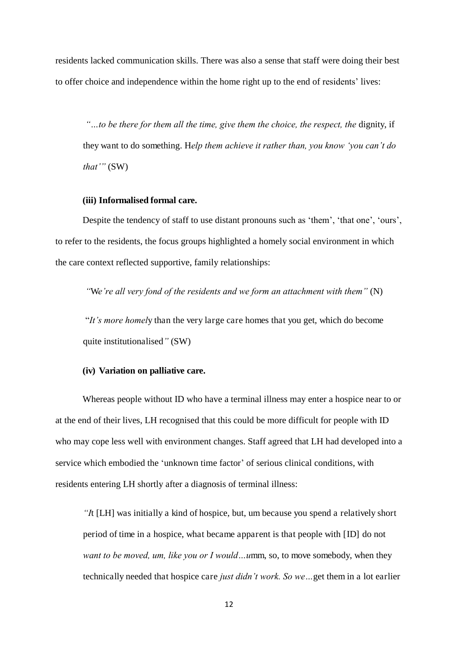residents lacked communication skills. There was also a sense that staff were doing their best to offer choice and independence within the home right up to the end of residents' lives:

*"…to be there for them all the time, give them the choice, the respect, the* dignity, if they want to do something. H*elp them achieve it rather than, you know 'you can't do that'"* (SW)

#### **(iii) Informalised formal care.**

Despite the tendency of staff to use distant pronouns such as 'them', 'that one', 'ours', to refer to the residents, the focus groups highlighted a homely social environment in which the care context reflected supportive, family relationships:

*"*W*e're all very fond of the residents and we form an attachment with them"* (N)

"*It's more homel*y than the very large care homes that you get, which do become quite institutionalised*"* (SW)

#### **(iv) Variation on palliative care.**

Whereas people without ID who have a terminal illness may enter a hospice near to or at the end of their lives, LH recognised that this could be more difficult for people with ID who may cope less well with environment changes. Staff agreed that LH had developed into a service which embodied the 'unknown time factor' of serious clinical conditions, with residents entering LH shortly after a diagnosis of terminal illness:

*"I*t [LH] was initially a kind of hospice, but, um because you spend a relatively short period of time in a hospice, what became apparent is that people with [ID] do not *want to be moved, um, like you or I would…u*mm, so, to move somebody, when they technically needed that hospice care *just didn't work. So we…*get them in a lot earlier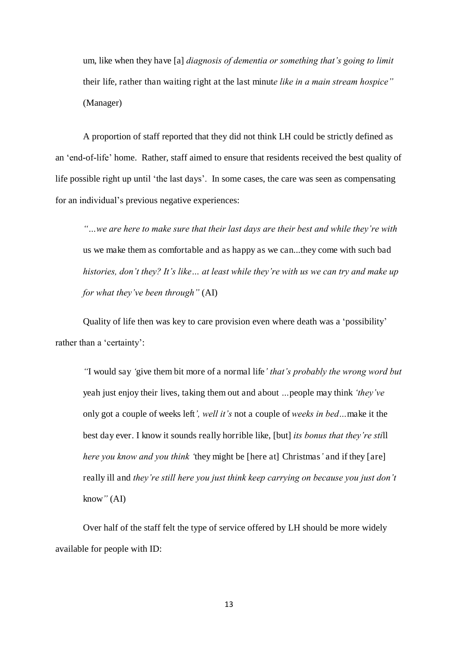um, like when they have [a] *diagnosis of dementia or something that's going to limit*  their life, rather than waiting right at the last minut*e like in a main stream hospice"*  (Manager)

A proportion of staff reported that they did not think LH could be strictly defined as an 'end-of-life' home. Rather, staff aimed to ensure that residents received the best quality of life possible right up until 'the last days'. In some cases, the care was seen as compensating for an individual's previous negative experiences:

*"…we are here to make sure that their last days are their best and while they're with*  us we make them as comfortable and as happy as we can...they come with such bad *histories, don't they? It's like… at least while they're with us we can try and make up for what they've been through"* (AI)

Quality of life then was key to care provision even where death was a 'possibility' rather than a 'certainty':

*"*I would say *'*give them bit more of a normal life*' that's probably the wrong word but*  yeah just enjoy their lives, taking them out and about *…*people may think *'they've*  only got a couple of weeks left*', well it's* not a couple of *weeks in bed…*make it the best day ever. I know it sounds really horrible like, [but] *its bonus that they're sti*ll *here you know and you think '*they might be [here at] Christmas*'* and if they [are] really ill and *they're still here you just think keep carrying on because you just don't*  know*"* (AI)

Over half of the staff felt the type of service offered by LH should be more widely available for people with ID: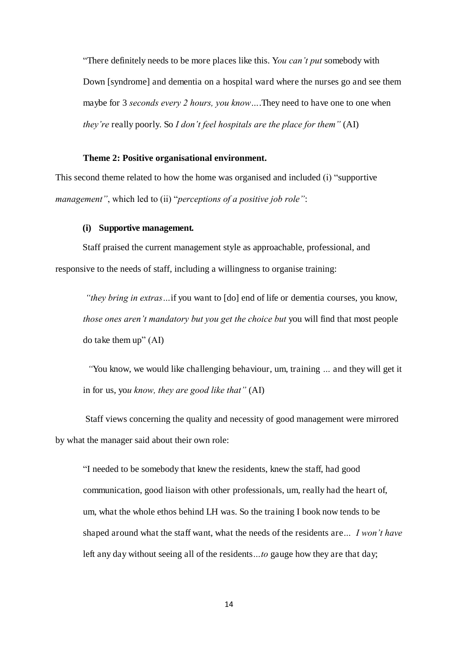"There definitely needs to be more places like this. Y*ou can't put* somebody with Down [syndrome] and dementia on a hospital ward where the nurses go and see them maybe for 3 *seconds every 2 hours, you know…*.They need to have one to one when *they're* really poorly. So *I don't feel hospitals are the place for them"* (AI)

#### **Theme 2: Positive organisational environment.**

This second theme related to how the home was organised and included (i) "supportive *management"*, which led to (ii) "*perceptions of a positive job role"*:

#### **(i) Supportive management.**

Staff praised the current management style as approachable, professional, and responsive to the needs of staff, including a willingness to organise training:

*"they bring in extras…*if you want to [do] end of life or dementia courses, you know, *those ones aren't mandatory but you get the choice but you will find that most people* do take them up" (AI)

*"*You know, we would like challenging behaviour, um, training *…* and they will get it in for us, yo*u know, they are good like that"* (AI)

 Staff views concerning the quality and necessity of good management were mirrored by what the manager said about their own role:

"I needed to be somebody that knew the residents, knew the staff, had good communication, good liaison with other professionals, um, really had the heart of, um, what the whole ethos behind LH was. So the training I book now tends to be shaped around what the staff want, what the needs of the residents are*… I won't have*  left any day without seeing all of the residents*…to* gauge how they are that day;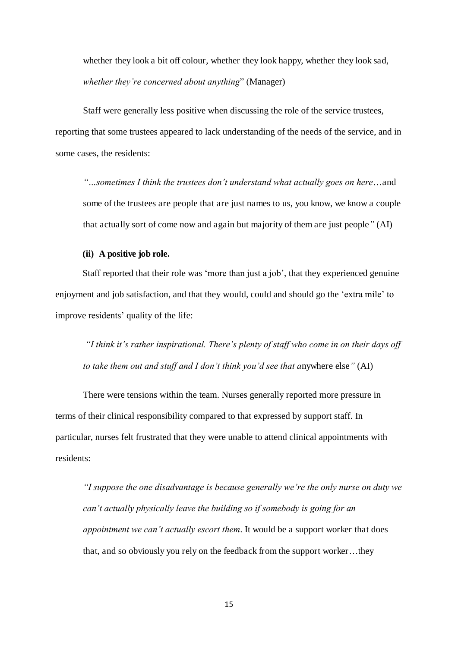whether they look a bit off colour, whether they look happy, whether they look sad, *whether they're concerned about anything*" (Manager)

Staff were generally less positive when discussing the role of the service trustees, reporting that some trustees appeared to lack understanding of the needs of the service, and in some cases, the residents:

*"…sometimes I think the trustees don't understand what actually goes on here*…and some of the trustees are people that are just names to us, you know, we know a couple that actually sort of come now and again but majority of them are just people*"* (AI)

#### **(ii) A positive job role.**

Staff reported that their role was 'more than just a job', that they experienced genuine enjoyment and job satisfaction, and that they would, could and should go the 'extra mile' to improve residents' quality of the life:

*"I think it's rather inspirational. There's plenty of staff who come in on their days off to take them out and stuff and I don't think you'd see that a*nywhere else*"* (AI)

There were tensions within the team. Nurses generally reported more pressure in terms of their clinical responsibility compared to that expressed by support staff. In particular, nurses felt frustrated that they were unable to attend clinical appointments with residents:

*"I suppose the one disadvantage is because generally we're the only nurse on duty we can't actually physically leave the building so if somebody is going for an appointment we can't actually escort them*. It would be a support worker that does that, and so obviously you rely on the feedback from the support worker…they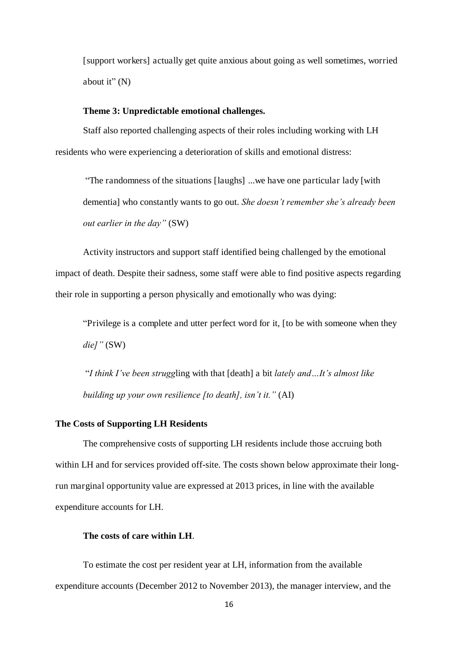[support workers] actually get quite anxious about going as well sometimes, worried about it" (N)

#### **Theme 3: Unpredictable emotional challenges.**

Staff also reported challenging aspects of their roles including working with LH residents who were experiencing a deterioration of skills and emotional distress:

"The randomness of the situations [laughs] ...we have one particular lady [with dementia] who constantly wants to go out. *She doesn't remember she's already been out earlier in the day"* (SW)

Activity instructors and support staff identified being challenged by the emotional impact of death. Despite their sadness, some staff were able to find positive aspects regarding their role in supporting a person physically and emotionally who was dying:

"Privilege is a complete and utter perfect word for it, [to be with someone when they *die]"* (SW)

"*I think I've been strugg*ling with that [death] a bit *lately and…It's almost like building up your own resilience [to death], isn't it."* (AI)

#### **The Costs of Supporting LH Residents**

The comprehensive costs of supporting LH residents include those accruing both within LH and for services provided off-site. The costs shown below approximate their longrun marginal opportunity value are expressed at 2013 prices, in line with the available expenditure accounts for LH.

#### **The costs of care within LH**.

To estimate the cost per resident year at LH, information from the available expenditure accounts (December 2012 to November 2013), the manager interview, and the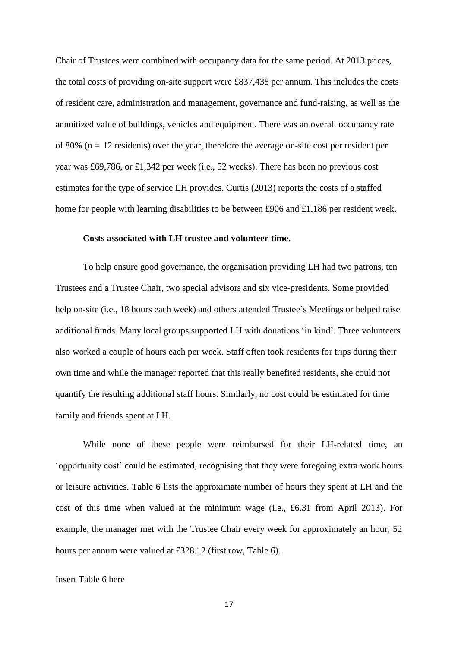Chair of Trustees were combined with occupancy data for the same period. At 2013 prices, the total costs of providing on-site support were £837,438 per annum. This includes the costs of resident care, administration and management, governance and fund-raising, as well as the annuitized value of buildings, vehicles and equipment. There was an overall occupancy rate of 80% ( $n = 12$  residents) over the year, therefore the average on-site cost per resident per year was £69,786, or £1,342 per week (i.e., 52 weeks). There has been no previous cost estimates for the type of service LH provides. Curtis (2013) reports the costs of a staffed home for people with learning disabilities to be between £906 and £1,186 per resident week.

#### **Costs associated with LH trustee and volunteer time.**

To help ensure good governance, the organisation providing LH had two patrons, ten Trustees and a Trustee Chair, two special advisors and six vice-presidents. Some provided help on-site (i.e., 18 hours each week) and others attended Trustee's Meetings or helped raise additional funds. Many local groups supported LH with donations 'in kind'. Three volunteers also worked a couple of hours each per week. Staff often took residents for trips during their own time and while the manager reported that this really benefited residents, she could not quantify the resulting additional staff hours. Similarly, no cost could be estimated for time family and friends spent at LH.

While none of these people were reimbursed for their LH-related time, an 'opportunity cost' could be estimated, recognising that they were foregoing extra work hours or leisure activities. Table 6 lists the approximate number of hours they spent at LH and the cost of this time when valued at the minimum wage (i.e., £6.31 from April 2013). For example, the manager met with the Trustee Chair every week for approximately an hour; 52 hours per annum were valued at £328.12 (first row, Table 6).

#### Insert Table 6 here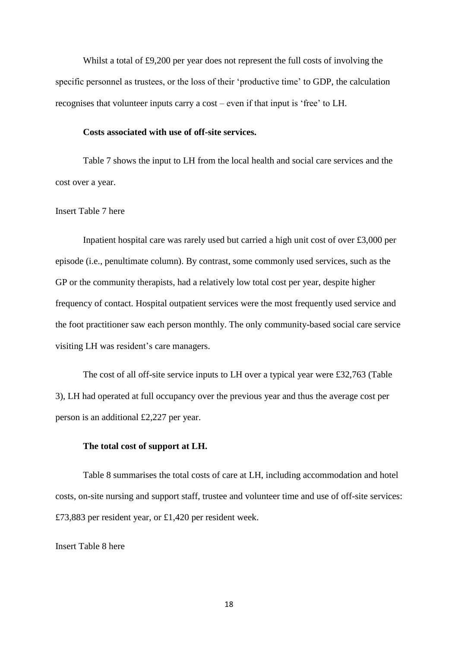Whilst a total of £9,200 per year does not represent the full costs of involving the specific personnel as trustees, or the loss of their 'productive time' to GDP, the calculation recognises that volunteer inputs carry a cost – even if that input is 'free' to LH.

#### **Costs associated with use of off-site services.**

Table 7 shows the input to LH from the local health and social care services and the cost over a year.

#### Insert Table 7 here

Inpatient hospital care was rarely used but carried a high unit cost of over £3,000 per episode (i.e., penultimate column). By contrast, some commonly used services, such as the GP or the community therapists, had a relatively low total cost per year, despite higher frequency of contact. Hospital outpatient services were the most frequently used service and the foot practitioner saw each person monthly. The only community-based social care service visiting LH was resident's care managers.

The cost of all off-site service inputs to LH over a typical year were £32,763 (Table 3), LH had operated at full occupancy over the previous year and thus the average cost per person is an additional £2,227 per year.

#### **The total cost of support at LH.**

Table 8 summarises the total costs of care at LH, including accommodation and hotel costs, on-site nursing and support staff, trustee and volunteer time and use of off-site services: £73,883 per resident year, or £1,420 per resident week.

#### Insert Table 8 here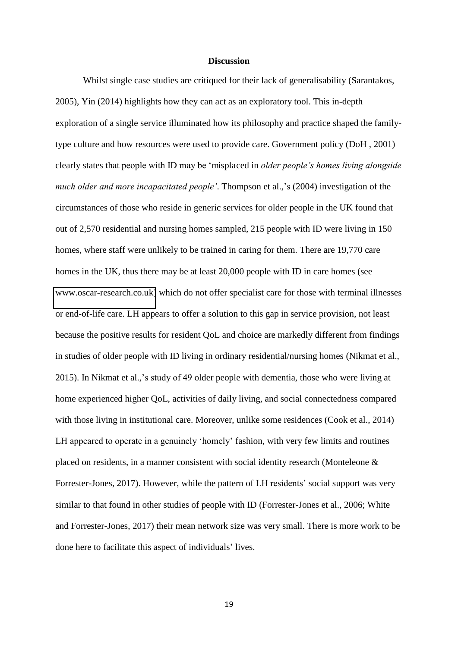#### **Discussion**

Whilst single case studies are critiqued for their lack of generalisability (Sarantakos, 2005), Yin (2014) highlights how they can act as an exploratory tool. This in-depth exploration of a single service illuminated how its philosophy and practice shaped the familytype culture and how resources were used to provide care. Government policy (DoH , 2001) clearly states that people with ID may be 'misplaced in *older people's homes living alongside much older and more incapacitated people'*. Thompson et al.,'s (2004) investigation of the circumstances of those who reside in generic services for older people in the UK found that out of 2,570 residential and nursing homes sampled, 215 people with ID were living in 150 homes, where staff were unlikely to be trained in caring for them. There are 19,770 care homes in the UK, thus there may be at least 20,000 people with ID in care homes (see [www.oscar-research.co.uk\)](http://www.oscar-research.co.uk/) which do not offer specialist care for those with terminal illnesses or end-of-life care. LH appears to offer a solution to this gap in service provision, not least because the positive results for resident QoL and choice are markedly different from findings in studies of older people with ID living in ordinary residential/nursing homes (Nikmat et al., 2015). In Nikmat et al.,'s study of 49 older people with dementia, those who were living at home experienced higher QoL, activities of daily living, and social connectedness compared with those living in institutional care. Moreover, unlike some residences (Cook et al., 2014) LH appeared to operate in a genuinely 'homely' fashion, with very few limits and routines placed on residents, in a manner consistent with social identity research (Monteleone & Forrester-Jones, 2017). However, while the pattern of LH residents' social support was very similar to that found in other studies of people with ID (Forrester-Jones et al., 2006; White and Forrester-Jones, 2017) their mean network size was very small. There is more work to be done here to facilitate this aspect of individuals' lives.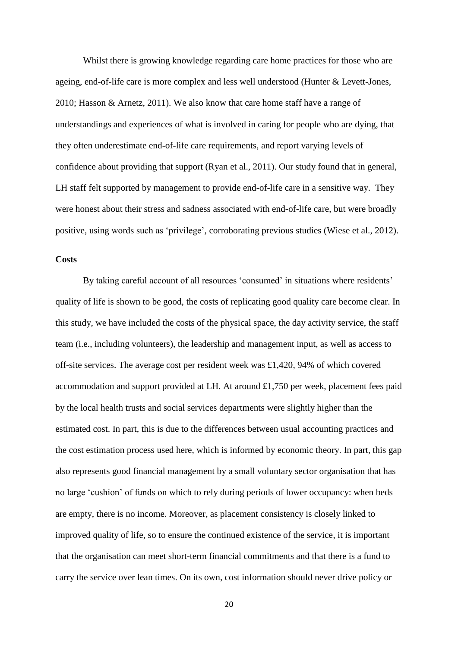Whilst there is growing knowledge regarding care home practices for those who are ageing, end-of-life care is more complex and less well understood (Hunter & Levett-Jones, 2010; Hasson & Arnetz, 2011). We also know that care home staff have a range of understandings and experiences of what is involved in caring for people who are dying, that they often underestimate end-of-life care requirements, and report varying levels of confidence about providing that support (Ryan et al., 2011). Our study found that in general, LH staff felt supported by management to provide end-of-life care in a sensitive way. They were honest about their stress and sadness associated with end-of-life care, but were broadly positive, using words such as 'privilege', corroborating previous studies (Wiese et al., 2012).

#### **Costs**

By taking careful account of all resources 'consumed' in situations where residents' quality of life is shown to be good, the costs of replicating good quality care become clear. In this study, we have included the costs of the physical space, the day activity service, the staff team (i.e., including volunteers), the leadership and management input, as well as access to off-site services. The average cost per resident week was £1,420, 94% of which covered accommodation and support provided at LH. At around £1,750 per week, placement fees paid by the local health trusts and social services departments were slightly higher than the estimated cost. In part, this is due to the differences between usual accounting practices and the cost estimation process used here, which is informed by economic theory. In part, this gap also represents good financial management by a small voluntary sector organisation that has no large 'cushion' of funds on which to rely during periods of lower occupancy: when beds are empty, there is no income. Moreover, as placement consistency is closely linked to improved quality of life, so to ensure the continued existence of the service, it is important that the organisation can meet short-term financial commitments and that there is a fund to carry the service over lean times. On its own, cost information should never drive policy or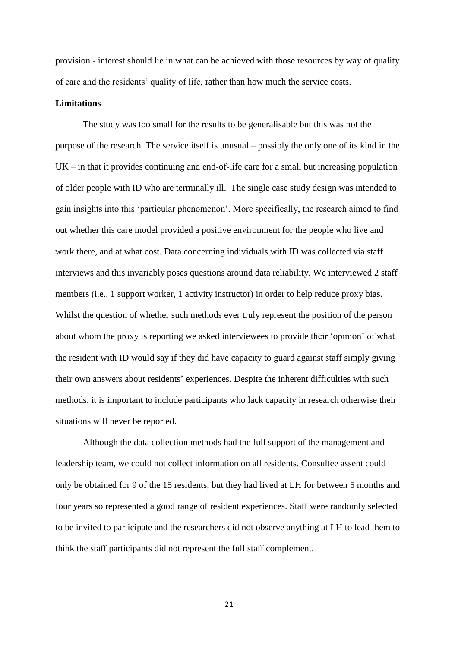provision - interest should lie in what can be achieved with those resources by way of quality of care and the residents' quality of life, rather than how much the service costs.

#### **Limitations**

The study was too small for the results to be generalisable but this was not the purpose of the research. The service itself is unusual – possibly the only one of its kind in the  $UK - in that it provides continuing and end-of-life care for a small but increasing population$ of older people with ID who are terminally ill. The single case study design was intended to gain insights into this 'particular phenomenon'. More specifically, the research aimed to find out whether this care model provided a positive environment for the people who live and work there, and at what cost. Data concerning individuals with ID was collected via staff interviews and this invariably poses questions around data reliability. We interviewed 2 staff members (i.e., 1 support worker, 1 activity instructor) in order to help reduce proxy bias. Whilst the question of whether such methods ever truly represent the position of the person about whom the proxy is reporting we asked interviewees to provide their 'opinion' of what the resident with ID would say if they did have capacity to guard against staff simply giving their own answers about residents' experiences. Despite the inherent difficulties with such methods, it is important to include participants who lack capacity in research otherwise their situations will never be reported.

Although the data collection methods had the full support of the management and leadership team, we could not collect information on all residents. Consultee assent could only be obtained for 9 of the 15 residents, but they had lived at LH for between 5 months and four years so represented a good range of resident experiences. Staff were randomly selected to be invited to participate and the researchers did not observe anything at LH to lead them to think the staff participants did not represent the full staff complement.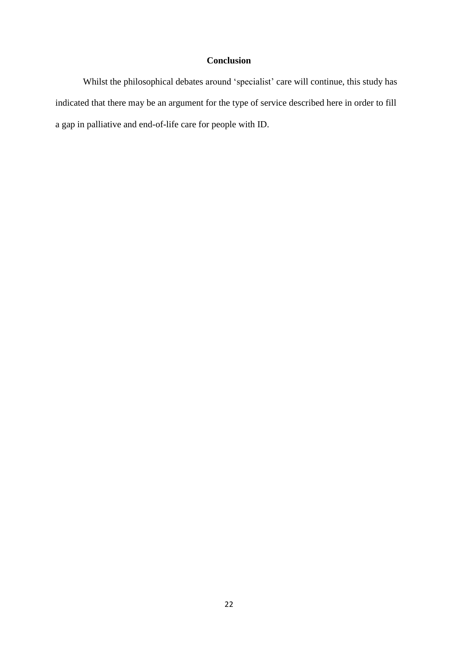## **Conclusion**

Whilst the philosophical debates around 'specialist' care will continue, this study has indicated that there may be an argument for the type of service described here in order to fill a gap in palliative and end-of-life care for people with ID.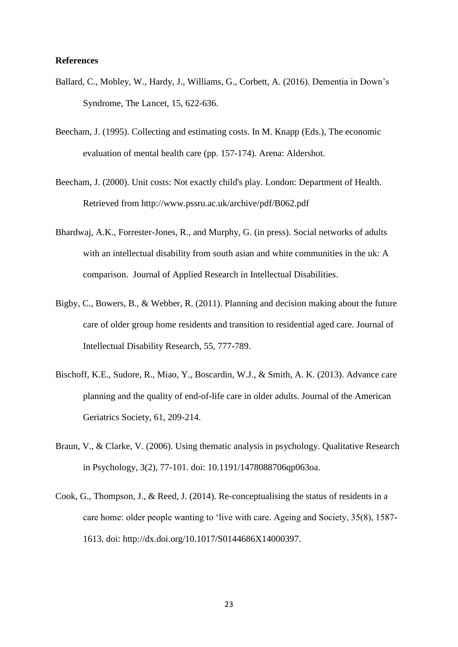#### **References**

- Ballard, C., Mobley, W., Hardy, J., Williams, G., Corbett, A. (2016). Dementia in Down's Syndrome, The Lancet, 15, 622-636.
- Beecham, J. (1995). Collecting and estimating costs. In M. Knapp (Eds.), The economic evaluation of mental health care (pp. 157-174). Arena: Aldershot.
- Beecham, J. (2000). Unit costs: Not exactly child's play. London: Department of Health. Retrieved from http://www.pssru.ac.uk/archive/pdf/B062.pdf
- Bhardwaj, A.K., Forrester-Jones, R., and Murphy, G. (in press). Social networks of adults with an intellectual disability from south asian and white communities in the uk: A comparison. Journal of Applied Research in Intellectual Disabilities.
- Bigby, C., Bowers, B., & Webber, R. (2011). Planning and decision making about the future care of older group home residents and transition to residential aged care. Journal of Intellectual Disability Research, 55, 777-789.
- Bischoff, K.E., Sudore, R., Miao, Y., Boscardin, W.J., & Smith, A. K. (2013). Advance care planning and the quality of end-of-life care in older adults. Journal of the American Geriatrics Society, 61, 209-214.
- Braun, V., & Clarke, V. (2006). Using thematic analysis in psychology. Qualitative Research in Psychology, 3(2), 77-101. doi: 10.1191/1478088706qp063oa.
- Cook, G., Thompson, J., & Reed, J. (2014). Re-conceptualising the status of residents in a care home: older people wanting to 'live with care. Ageing and Society, 35(8), 1587- 1613. doi: http://dx.doi.org/10.1017/S0144686X14000397.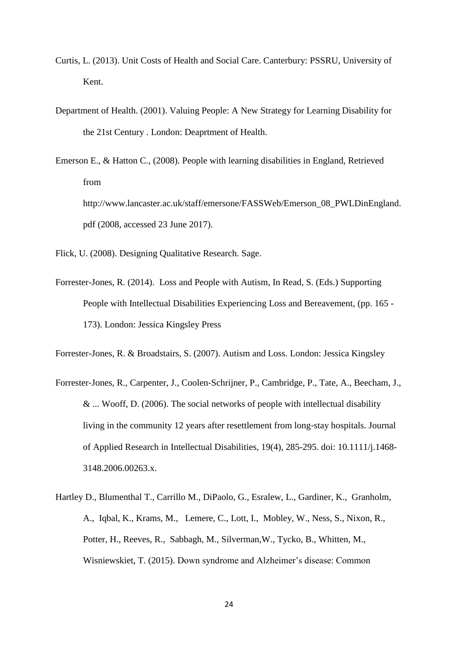- Curtis, L. (2013). Unit Costs of Health and Social Care. Canterbury: PSSRU, University of Kent.
- Department of Health. (2001). Valuing People: A New Strategy for Learning Disability for the 21st Century . London: Deaprtment of Health.
- Emerson E., & Hatton C., (2008). People with learning disabilities in England, Retrieved from http://www.lancaster.ac.uk/staff/emersone/FASSWeb/Emerson\_08\_PWLDinEngland. pdf (2008, accessed 23 June 2017).

Flick, U. (2008). Designing Qualitative Research. Sage.

Forrester-Jones, R. (2014). Loss and People with Autism, In Read, S. (Eds.) Supporting People with Intellectual Disabilities Experiencing Loss and Bereavement, (pp. 165 - 173). London: Jessica Kingsley Press

Forrester-Jones, R. & Broadstairs, S. (2007). Autism and Loss. London: Jessica Kingsley

- Forrester-Jones, R., Carpenter, J., Coolen-Schrijner, P., Cambridge, P., Tate, A., Beecham, J., & ... Wooff, D. (2006). The social networks of people with intellectual disability living in the community 12 years after resettlement from long-stay hospitals. Journal of Applied Research in Intellectual Disabilities, 19(4), 285-295. doi: 10.1111/j.1468- 3148.2006.00263.x.
- Hartley D., Blumenthal T., Carrillo M., DiPaolo, G., Esralew, L., Gardiner, K., Granholm, A., Iqbal, K., Krams, M., Lemere, C., Lott, I., Mobley, W., Ness, S., Nixon, R., Potter, H., Reeves, R., Sabbagh, M., Silverman,W., Tycko, B., Whitten, M., Wisniewskiet, T. (2015). Down syndrome and Alzheimer's disease: Common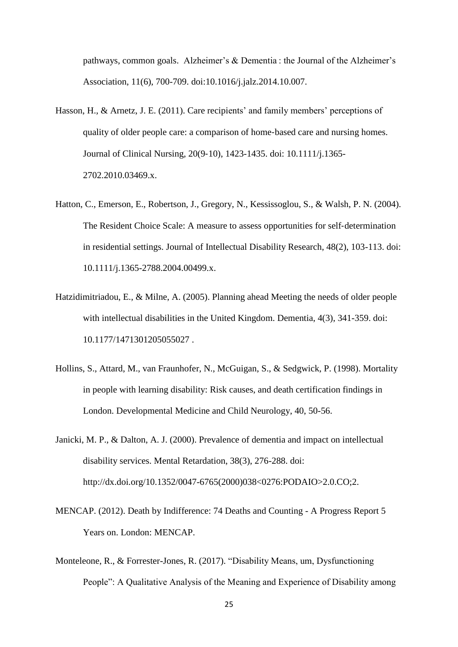pathways, common goals. Alzheimer's & Dementia: the Journal of the Alzheimer's Association, 11(6), 700-709. doi:10.1016/j.jalz.2014.10.007.

- Hasson, H., & Arnetz, J. E. (2011). Care recipients' and family members' perceptions of quality of older people care: a comparison of home-based care and nursing homes. Journal of Clinical Nursing, 20(9-10), 1423-1435. doi: 10.1111/j.1365-2702.2010.03469.x.
- Hatton, C., Emerson, E., Robertson, J., Gregory, N., Kessissoglou, S., & Walsh, P. N. (2004). The Resident Choice Scale: A measure to assess opportunities for self-determination in residential settings. Journal of Intellectual Disability Research, 48(2), 103-113. doi: 10.1111/j.1365-2788.2004.00499.x.
- Hatzidimitriadou, E., & Milne, A. (2005). Planning ahead Meeting the needs of older people with intellectual disabilities in the United Kingdom. Dementia, 4(3), 341-359. doi: 10.1177/1471301205055027 .
- Hollins, S., Attard, M., van Fraunhofer, N., McGuigan, S., & Sedgwick, P. (1998). Mortality in people with learning disability: Risk causes, and death certification findings in London. Developmental Medicine and Child Neurology, 40, 50-56.
- Janicki, M. P., & Dalton, A. J. (2000). Prevalence of dementia and impact on intellectual disability services. Mental Retardation, 38(3), 276-288. doi: http://dx.doi.org/10.1352/0047-6765(2000)038<0276:PODAIO>2.0.CO;2.
- MENCAP. (2012). Death by Indifference: 74 Deaths and Counting A Progress Report 5 Years on. London: MENCAP.
- Monteleone, R., & Forrester-Jones, R. (2017). "Disability Means, um, Dysfunctioning People": A Qualitative Analysis of the Meaning and Experience of Disability among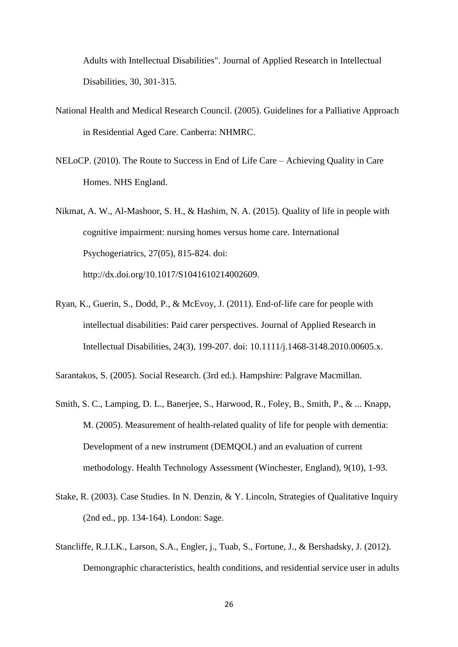Adults with Intellectual Disabilities". Journal of Applied Research in Intellectual Disabilities, 30, 301-315.

- National Health and Medical Research Council. (2005). Guidelines for a Palliative Approach in Residential Aged Care. Canberra: NHMRC.
- NELoCP. (2010). The Route to Success in End of Life Care Achieving Quality in Care Homes. NHS England.
- Nikmat, A. W., Al-Mashoor, S. H., & Hashim, N. A. (2015). Quality of life in people with cognitive impairment: nursing homes versus home care. International Psychogeriatrics, 27(05), 815-824. doi: http://dx.doi.org/10.1017/S1041610214002609.
- Ryan, K., Guerin, S., Dodd, P., & McEvoy, J. (2011). End-of-life care for people with intellectual disabilities: Paid carer perspectives. Journal of Applied Research in Intellectual Disabilities, 24(3), 199-207. doi: 10.1111/j.1468-3148.2010.00605.x.

Sarantakos, S. (2005). Social Research. (3rd ed.). Hampshire: Palgrave Macmillan.

- Smith, S. C., Lamping, D. L., Banerjee, S., Harwood, R., Foley, B., Smith, P., & ... Knapp, M. (2005). Measurement of health-related quality of life for people with dementia: Development of a new instrument (DEMQOL) and an evaluation of current methodology. Health Technology Assessment (Winchester, England), 9(10), 1-93.
- Stake, R. (2003). Case Studies. In N. Denzin, & Y. Lincoln, Strategies of Qualitative Inquiry (2nd ed., pp. 134-164). London: Sage.
- Stancliffe, R.J.LK., Larson, S.A., Engler, j., Tuab, S., Fortune, J., & Bershadsky, J. (2012). Demongraphic characteristics, health conditions, and residential service user in adults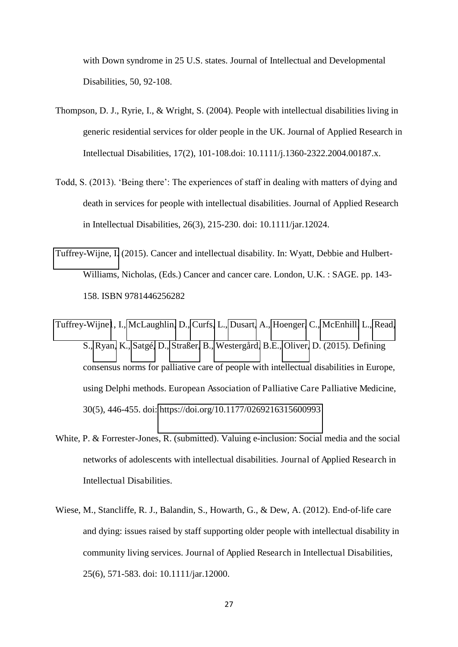with Down syndrome in 25 U.S. states. Journal of Intellectual and Developmental Disabilities, 50, 92-108.

- Thompson, D. J., Ryrie, I., & Wright, S. (2004). People with intellectual disabilities living in generic residential services for older people in the UK. Journal of Applied Research in Intellectual Disabilities, 17(2), 101-108.doi: 10.1111/j.1360-2322.2004.00187.x.
- Todd, S. (2013). 'Being there': The experiences of staff in dealing with matters of dying and death in services for people with intellectual disabilities. Journal of Applied Research in Intellectual Disabilities, 26(3), 215-230. doi: 10.1111/jar.12024.
- [Tuffrey-Wijne, I.](http://eprints.kingston.ac.uk/view/creators/19097.html) (2015). Cancer and intellectual disability. In: Wyatt, Debbie and Hulbert-Williams, Nicholas, (Eds.) Cancer and cancer care. London, U.K. : SAGE. pp. 143- 158. ISBN 9781446256282
- [Tuffrey-Wijne1](http://journals.sagepub.com/author/Tuffrey-Wijne%2C+Irene), I., [McLaughlin,](http://journals.sagepub.com/author/McLaughlin%2C+Dorry) D., [Curfs,](http://journals.sagepub.com/author/Curfs%2C+Leopold) L., [Dusart,](http://journals.sagepub.com/author/Dusart%2C+Anne) A., [Hoenger,](http://journals.sagepub.com/author/Hoenger%2C+Catherine) C., [McEnhill,](http://journals.sagepub.com/author/McEnhill%2C+Linda) L., [Read,](http://journals.sagepub.com/author/Read%2C+Sue) S., [Ryan,](http://journals.sagepub.com/author/Ryan%2C+Karen) K., [Satgé,](http://journals.sagepub.com/author/Satg%C3%A9%2C+Daniel) D., [Straßer,](http://journals.sagepub.com/author/Stra%C3%9Fer%2C+Benjamin) B., [Westergård,](http://journals.sagepub.com/author/Westerg%C3%A5rd%2C+Britt-Evy) B.E., [Oliver,](http://journals.sagepub.com/author/Oliver%2C+David) D. (2015). Defining consensus norms for palliative care of people with intellectual disabilities in Europe, using Delphi methods. European Association of Palliative Care Palliative Medicine, 30(5), 446-455. doi:<https://doi.org/10.1177/0269216315600993>
- White, P. & Forrester-Jones, R. (submitted). Valuing e-inclusion: Social media and the social networks of adolescents with intellectual disabilities. Journal of Applied Research in Intellectual Disabilities.
- Wiese, M., Stancliffe, R. J., Balandin, S., Howarth, G., & Dew, A. (2012). End-of-life care and dying: issues raised by staff supporting older people with intellectual disability in community living services. Journal of Applied Research in Intellectual Disabilities, 25(6), 571-583. doi: 10.1111/jar.12000.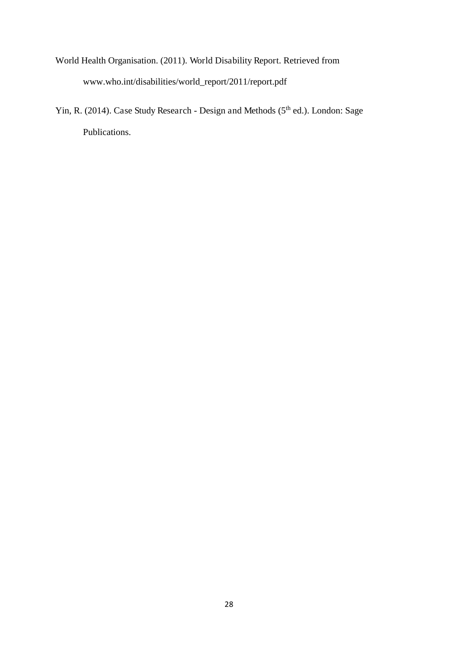- World Health Organisation. (2011). World Disability Report. Retrieved from www.who.int/disabilities/world\_report/2011/report.pdf
- Yin, R. (2014). Case Study Research Design and Methods (5<sup>th</sup> ed.). London: Sage Publications.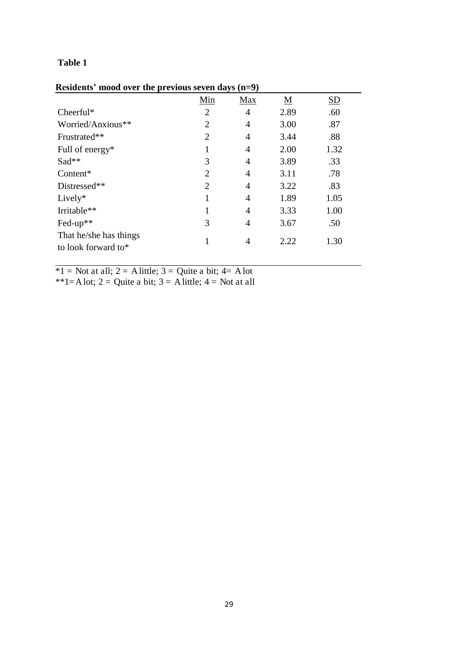|  | Residents' mood over the previous seven days (n=9) |  |  |  |  |  |
|--|----------------------------------------------------|--|--|--|--|--|
|--|----------------------------------------------------|--|--|--|--|--|

| $x_1, x_2, x_3, x_4, x_5, x_6, x_7, x_8, x_9, x_1, x_2, x_3, x_4, x_5, x_6, x_7, x_8, x_9, x_1, x_2, x_3, x_4, x_5, x_6, x_7, x_8, x_9, x_1, x_2, x_3, x_4, x_5, x_6, x_7, x_8, x_9, x_1, x_2, x_3, x_4, x_5, x_6, x_7, x_8, x_9, x_1, x_2, x_3, x_4, x_5, x_6, x_7, x_8, x_9, x_1,$ |                |                |                          |                           |
|--------------------------------------------------------------------------------------------------------------------------------------------------------------------------------------------------------------------------------------------------------------------------------------|----------------|----------------|--------------------------|---------------------------|
|                                                                                                                                                                                                                                                                                      | Min            | Max            | $\underline{\mathbf{M}}$ | $\underline{\mathrm{SD}}$ |
| Cheerful*                                                                                                                                                                                                                                                                            | $\overline{2}$ | $\overline{4}$ | 2.89                     | .60                       |
| Worried/Anxious**                                                                                                                                                                                                                                                                    | $\overline{2}$ | $\overline{4}$ | 3.00                     | .87                       |
| Frustrated**                                                                                                                                                                                                                                                                         | $\overline{2}$ | $\overline{4}$ | 3.44                     | .88                       |
| Full of energy $*$                                                                                                                                                                                                                                                                   | 1              | $\overline{4}$ | 2.00                     | 1.32                      |
| Sad**                                                                                                                                                                                                                                                                                | 3              | $\overline{4}$ | 3.89                     | .33                       |
| Content*                                                                                                                                                                                                                                                                             | $\overline{2}$ | 4              | 3.11                     | .78                       |
| Distressed**                                                                                                                                                                                                                                                                         | $\overline{2}$ | $\overline{4}$ | 3.22                     | .83                       |
| $Lively*$                                                                                                                                                                                                                                                                            | 1              | $\overline{4}$ | 1.89                     | 1.05                      |
| Irritable**                                                                                                                                                                                                                                                                          |                | $\overline{4}$ | 3.33                     | 1.00                      |
| Fed-up**                                                                                                                                                                                                                                                                             | 3              | 4              | 3.67                     | .50                       |
| That he/she has things<br>to look forward to*                                                                                                                                                                                                                                        |                | 4              | 2.22                     | 1.30                      |

 $*1$  = Not at all; 2 = A little; 3 = Quite a bit; 4 = A lot

\*\*1=A lot; 2 = Quite a bit; 3 = A little; 4 = Not at all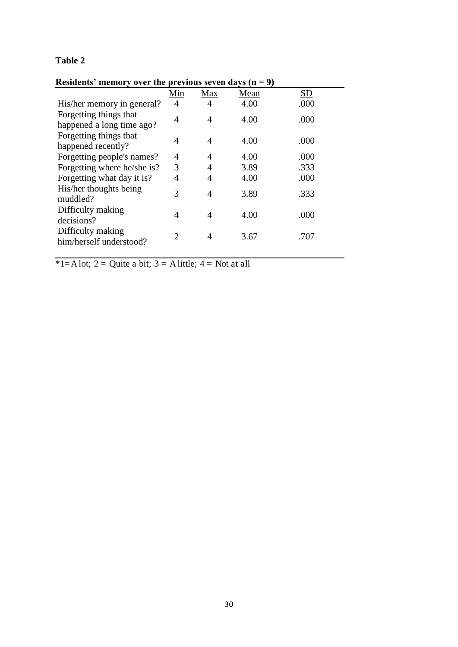| Residents' memory over the previous seven days $(n = 9)$ |     |                |      |      |  |
|----------------------------------------------------------|-----|----------------|------|------|--|
|                                                          | Min | Max            | Mean | SD   |  |
| His/her memory in general?                               | 4   | 4              | 4.00 | .000 |  |
| Forgetting things that<br>happened a long time ago?      | 4   | 4              | 4.00 | .000 |  |
| Forgetting things that<br>happened recently?             | 4   | $\overline{4}$ | 4.00 | .000 |  |
| Forgetting people's names?                               | 4   | $\overline{4}$ | 4.00 | .000 |  |
| Forgetting where he/she is?                              | 3   | $\overline{4}$ | 3.89 | .333 |  |
| Forgetting what day it is?                               | 4   | 4              | 4.00 | .000 |  |
| His/her thoughts being<br>muddled?                       | 3   | 4              | 3.89 | .333 |  |
| Difficulty making<br>decisions?                          | 4   | 4              | 4.00 | .000 |  |
| Difficulty making<br>him/herself understood?             | 2   | 4              | 3.67 | .707 |  |
|                                                          |     |                |      |      |  |

**Residents' memory over the previous seven days**  $(n - 9)$ 

\*1=A lot; 2 = Quite a bit; 3 = A little; 4 = Not at all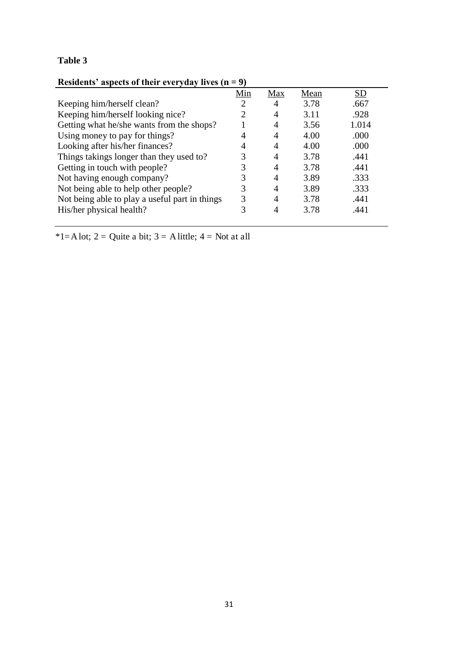## **Residents' aspects of their everyday lives (n = 9)**

|                                                | Min | Max | Mean | SD    |
|------------------------------------------------|-----|-----|------|-------|
| Keeping him/herself clean?                     | 2   | 4   | 3.78 | .667  |
| Keeping him/herself looking nice?              | 2   | 4   | 3.11 | .928  |
| Getting what he/she wants from the shops?      |     |     | 3.56 | 1.014 |
| Using money to pay for things?                 |     |     | 4.00 | .000  |
| Looking after his/her finances?                | 4   |     | 4.00 | .000  |
| Things takings longer than they used to?       | 3   | 4   | 3.78 | .441  |
| Getting in touch with people?                  | 3   | 4   | 3.78 | .441  |
| Not having enough company?                     | 3   |     | 3.89 | .333  |
| Not being able to help other people?           | 3   | 4   | 3.89 | .333  |
| Not being able to play a useful part in things | 3   | 4   | 3.78 | .441  |
| His/her physical health?                       | 3   | 4   | 3.78 | .441  |
|                                                |     |     |      |       |

\*1=A lot; 2 = Quite a bit; 3 = A little; 4 = Not at all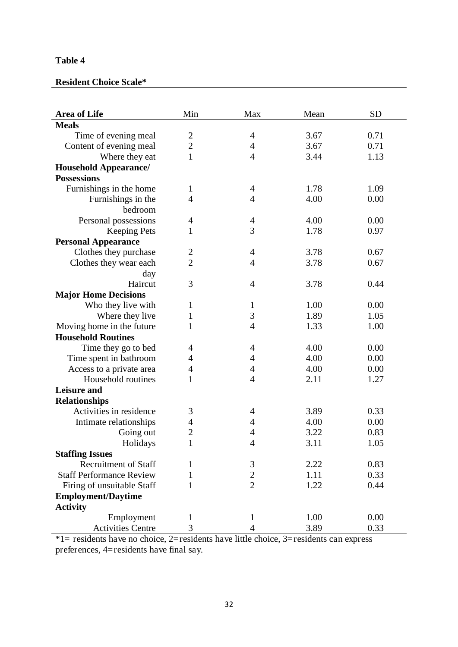## **Resident Choice Scale\***

| <b>Area of Life</b>             | Min            | Max            | Mean | <b>SD</b> |
|---------------------------------|----------------|----------------|------|-----------|
| <b>Meals</b>                    |                |                |      |           |
| Time of evening meal            | $\overline{2}$ | 4              | 3.67 | 0.71      |
| Content of evening meal         | $\overline{c}$ | 4              | 3.67 | 0.71      |
| Where they eat                  | $\mathbf{1}$   | 4              | 3.44 | 1.13      |
| <b>Household Appearance/</b>    |                |                |      |           |
| <b>Possessions</b>              |                |                |      |           |
| Furnishings in the home         | $\mathbf{1}$   | 4              | 1.78 | 1.09      |
| Furnishings in the              | 4              | 4              | 4.00 | 0.00      |
| bedroom                         |                |                |      |           |
| Personal possessions            | 4              | 4              | 4.00 | 0.00      |
| <b>Keeping Pets</b>             | 1              | 3              | 1.78 | 0.97      |
| <b>Personal Appearance</b>      |                |                |      |           |
| Clothes they purchase           | $\overline{2}$ | $\overline{4}$ | 3.78 | 0.67      |
| Clothes they wear each          | $\overline{2}$ | 4              | 3.78 | 0.67      |
| day                             |                |                |      |           |
| Haircut                         | 3              | 4              | 3.78 | 0.44      |
| <b>Major Home Decisions</b>     |                |                |      |           |
| Who they live with              | $\mathbf{1}$   | $\mathbf{1}$   | 1.00 | 0.00      |
| Where they live                 | 1              | 3              | 1.89 | 1.05      |
| Moving home in the future       | 1              | $\overline{4}$ | 1.33 | 1.00      |
| <b>Household Routines</b>       |                |                |      |           |
| Time they go to bed             | 4              | 4              | 4.00 | 0.00      |
| Time spent in bathroom          | 4              | 4              | 4.00 | 0.00      |
| Access to a private area        | 4              | 4              | 4.00 | 0.00      |
| Household routines              | 1              | $\overline{4}$ | 2.11 | 1.27      |
| <b>Leisure and</b>              |                |                |      |           |
| <b>Relationships</b>            |                |                |      |           |
| Activities in residence         | 3              | 4              | 3.89 | 0.33      |
| Intimate relationships          | 4              | 4              | 4.00 | 0.00      |
| Going out                       | $\overline{2}$ | 4              | 3.22 | 0.83      |
| Holidays                        | $\mathbf{1}$   | 4              | 3.11 | 1.05      |
| <b>Staffing Issues</b>          |                |                |      |           |
| <b>Recruitment of Staff</b>     | 1              | $\mathfrak{Z}$ | 2.22 | 0.83      |
| <b>Staff Performance Review</b> | 1              | $\overline{c}$ | 1.11 | 0.33      |
| Firing of unsuitable Staff      | 1              | $\overline{2}$ | 1.22 | 0.44      |
| <b>Employment/Daytime</b>       |                |                |      |           |
| <b>Activity</b>                 |                |                |      |           |
| Employment                      | $\mathbf{1}$   | $\mathbf{1}$   | 1.00 | 0.00      |
| <b>Activities Centre</b>        | 3              | $\overline{4}$ | 3.89 | 0.33      |

\*1= residents have no choice, 2=residents have little choice, 3=residents can express preferences, 4=residents have final say.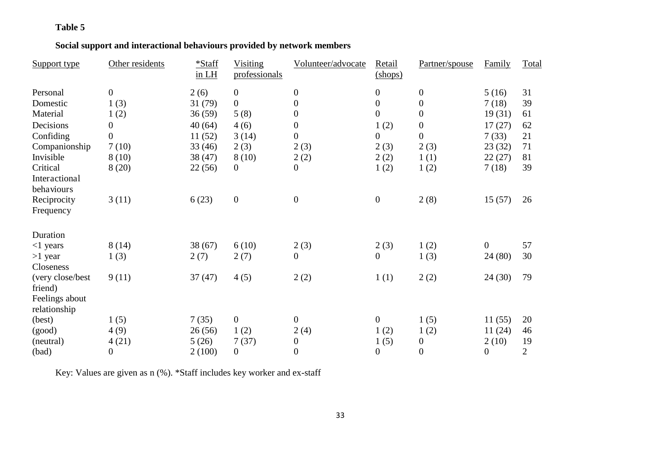## **Social support and interactional behaviours provided by network members**

| Support type                                            | Other residents  | *Staff<br>in LH | Visiting<br>professionals | Volunteer/advocate | Retail<br>$(shops)$ | Partner/spouse   | Family           | Total          |
|---------------------------------------------------------|------------------|-----------------|---------------------------|--------------------|---------------------|------------------|------------------|----------------|
| Personal                                                | $\boldsymbol{0}$ | 2(6)            | $\boldsymbol{0}$          | $\boldsymbol{0}$   | $\boldsymbol{0}$    | $\boldsymbol{0}$ | 5(16)            | 31             |
| Domestic                                                | 1(3)             | 31(79)          | $\boldsymbol{0}$          | $\overline{0}$     | $\boldsymbol{0}$    | $\boldsymbol{0}$ | 7(18)            | 39             |
| Material                                                | 1(2)             | 36(59)          | 5(8)                      | $\boldsymbol{0}$   | $\overline{0}$      | $\overline{0}$   | 19(31)           | 61             |
| Decisions                                               | $\boldsymbol{0}$ | 40(64)          | 4(6)                      | $\overline{0}$     | 1(2)                | $\overline{0}$   | 17(27)           | 62             |
| Confiding                                               | $\overline{0}$   | 11(52)          | 3(14)                     | $\boldsymbol{0}$   | 0                   | $\boldsymbol{0}$ | 7(33)            | 21             |
| Companionship                                           | 7(10)            | 33(46)          | 2(3)                      | 2(3)               | 2(3)                | 2(3)             | 23(32)           | 71             |
| Invisible                                               | 8(10)            | 38(47)          | 8(10)                     | 2(2)               | 2(2)                | 1(1)             | 22(27)           | 81             |
| Critical                                                | 8(20)            | 22(56)          | $\boldsymbol{0}$          | $\boldsymbol{0}$   | 1(2)                | 1(2)             | 7(18)            | 39             |
| Interactional<br>behaviours<br>Reciprocity<br>Frequency | 3(11)            | 6(23)           | $\boldsymbol{0}$          | $\boldsymbol{0}$   | $\boldsymbol{0}$    | 2(8)             | 15(57)           | 26             |
| Duration                                                |                  |                 |                           |                    |                     |                  |                  |                |
| $<$ 1 years                                             | 8(14)            | 38(67)          | 6(10)                     | 2(3)               | 2(3)                | 1(2)             | $\overline{0}$   | 57             |
| $>1$ year                                               | 1(3)             | 2(7)            | 2(7)                      | $\overline{0}$     | $\boldsymbol{0}$    | 1(3)             | 24 (80)          | 30             |
| Closeness                                               |                  |                 |                           |                    |                     |                  |                  |                |
| (very close/best)<br>friend)                            | 9(11)            | 37(47)          | 4(5)                      | 2(2)               | 1(1)                | 2(2)             | 24(30)           | 79             |
| Feelings about                                          |                  |                 |                           |                    |                     |                  |                  |                |
| relationship                                            |                  |                 |                           |                    |                     |                  |                  |                |
| (best)                                                  | 1(5)             | 7(35)           | $\mathbf{0}$              | $\boldsymbol{0}$   | $\boldsymbol{0}$    | 1(5)             | 11(55)           | 20             |
| (good)                                                  | 4(9)             | 26(56)          | 1(2)                      | 2(4)               | 1(2)                | 1(2)             | 11(24)           | 46             |
| (neutral)                                               | 4(21)            | 5(26)           | 7(37)                     | $\boldsymbol{0}$   | 1(5)                | $\boldsymbol{0}$ | 2(10)            | 19             |
| (bad)                                                   | 0                | 2(100)          | $\boldsymbol{0}$          | $\boldsymbol{0}$   | $\boldsymbol{0}$    | $\boldsymbol{0}$ | $\boldsymbol{0}$ | $\overline{2}$ |

Key: Values are given as n (%). \*Staff includes key worker and ex-staff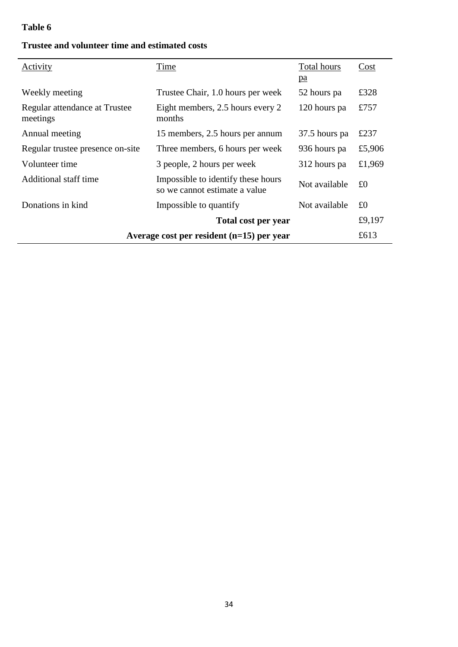| Activity                                            | Time                                                                | Total hours<br>pa | Cost   |  |
|-----------------------------------------------------|---------------------------------------------------------------------|-------------------|--------|--|
| Weekly meeting                                      | Trustee Chair, 1.0 hours per week                                   | 52 hours pa       | £328   |  |
| Regular attendance at Trustee<br>meetings           | Eight members, 2.5 hours every 2<br>months                          | 120 hours pa      | £757   |  |
| Annual meeting                                      | 15 members, 2.5 hours per annum                                     | 37.5 hours pa     | £237   |  |
| Regular trustee presence on-site                    | Three members, 6 hours per week                                     | 936 hours pa      | £5,906 |  |
| Volunteer time                                      | 3 people, 2 hours per week                                          | 312 hours pa      | £1,969 |  |
| Additional staff time                               | Impossible to identify these hours<br>so we cannot estimate a value | Not available     | £0     |  |
| Donations in kind                                   | Impossible to quantify                                              | Not available     | £0     |  |
|                                                     | Total cost per year                                                 |                   | £9,197 |  |
| Average cost per resident $(n=15)$ per year<br>£613 |                                                                     |                   |        |  |

## **Trustee and volunteer time and estimated costs**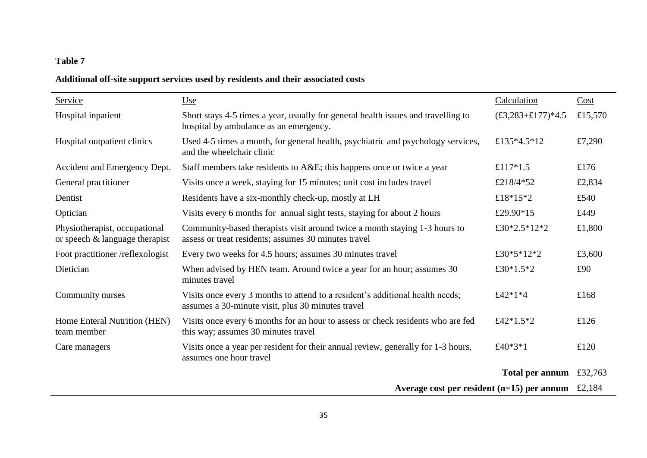## **Additional off-site support services used by residents and their associated costs**

| Service                                                            | <u>Use</u>                                                                                                                         | Calculation        | Cost    |
|--------------------------------------------------------------------|------------------------------------------------------------------------------------------------------------------------------------|--------------------|---------|
|                                                                    |                                                                                                                                    |                    |         |
| Hospital inpatient                                                 | Short stays 4-5 times a year, usually for general health issues and travelling to<br>hospital by ambulance as an emergency.        | $£3,283+£177)*4.5$ | £15,570 |
| Hospital outpatient clinics                                        | Used 4-5 times a month, for general health, psychiatric and psychology services,<br>and the wheelchair clinic                      | £135*4.5*12        | £7,290  |
| Accident and Emergency Dept.                                       | Staff members take residents to A&E this happens once or twice a year                                                              | £117*1.5           | £176    |
| General practitioner                                               | Visits once a week, staying for 15 minutes; unit cost includes travel                                                              | £218/4*52          | £2,834  |
| Dentist                                                            | Residents have a six-monthly check-up, mostly at LH                                                                                | £18*15*2           | £540    |
| Optician                                                           | Visits every 6 months for annual sight tests, staying for about 2 hours                                                            | £29.90 $*15$       | £449    |
| Physiotherapist, occupational<br>or speech $\&$ language therapist | Community-based therapists visit around twice a month staying 1-3 hours to<br>assess or treat residents; assumes 30 minutes travel | £30*2.5*12*2       | £1,800  |
| Foot practitioner /reflexologist                                   | Every two weeks for 4.5 hours; assumes 30 minutes travel                                                                           | £30*5*12*2         | £3,600  |
| Dietician                                                          | When advised by HEN team. Around twice a year for an hour; assumes 30<br>minutes travel                                            | £30*1.5*2          | £90     |
| Community nurses                                                   | Visits once every 3 months to attend to a resident's additional health needs;<br>assumes a 30-minute visit, plus 30 minutes travel | £42*1*4            | £168    |
| Home Enteral Nutrition (HEN)<br>team member                        | Visits once every 6 months for an hour to assess or check residents who are fed<br>this way; assumes 30 minutes travel             | £42*1.5*2          | £126    |
| Care managers                                                      | Visits once a year per resident for their annual review, generally for 1-3 hours,<br>assumes one hour travel                       | £40*3*1            | £120    |
|                                                                    |                                                                                                                                    | Total per annum    | £32,763 |
|                                                                    | Average cost per resident $(n=15)$ per annum £2,184                                                                                |                    |         |